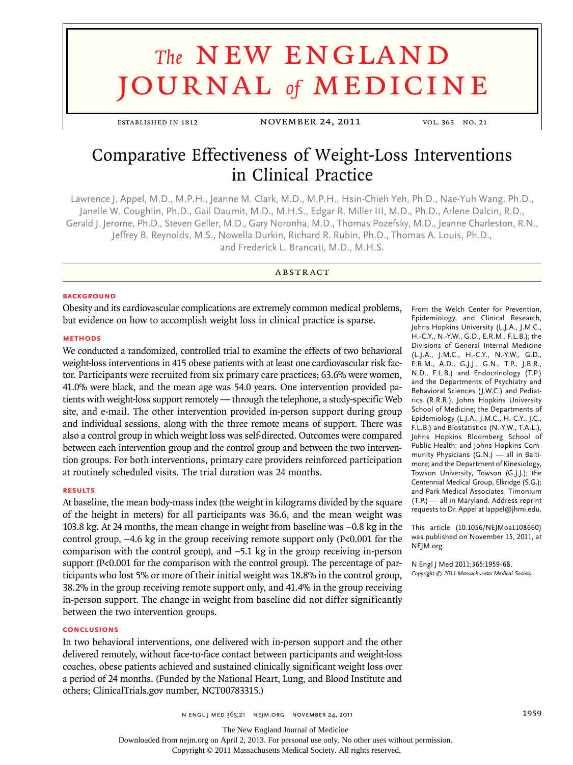# **The NEW ENGLAND** journal *of* medicine

established in 1812 november 24, 2011 vol. 365 no. 21

# Comparative Effectiveness of Weight-Loss Interventions in Clinical Practice

Lawrence J. Appel, M.D., M.P.H., Jeanne M. Clark, M.D., M.P.H., Hsin-Chieh Yeh, Ph.D., Nae-Yuh Wang, Ph.D., Janelle W. Coughlin, Ph.D., Gail Daumit, M.D., M.H.S., Edgar R. Miller III, M.D., Ph.D., Arlene Dalcin, R.D., Gerald J. Jerome, Ph.D., Steven Geller, M.D., Gary Noronha, M.D., Thomas Pozefsky, M.D., Jeanne Charleston, R.N., Jeffrey B. Reynolds, M.S., Nowella Durkin, Richard R. Rubin, Ph.D., Thomas A. Louis, Ph.D., and Frederick L. Brancati, M.D., M.H.S.

#### **ABSTRACT**

#### **BACKGROUND**

Obesity and its cardiovascular complications are extremely common medical problems, but evidence on how to accomplish weight loss in clinical practice is sparse.

#### **Methods**

We conducted a randomized, controlled trial to examine the effects of two behavioral weight-loss interventions in 415 obese patients with at least one cardiovascular risk factor. Participants were recruited from six primary care practices; 63.6% were women, 41.0% were black, and the mean age was 54.0 years. One intervention provided patients with weight-loss support remotely — through the telephone, a study-specific Web site, and e-mail. The other intervention provided in-person support during group and individual sessions, along with the three remote means of support. There was also a control group in which weight loss was self-directed. Outcomes were compared between each intervention group and the control group and between the two intervention groups. For both interventions, primary care providers reinforced participation at routinely scheduled visits. The trial duration was 24 months.

#### **Results**

At baseline, the mean body-mass index (the weight in kilograms divided by the square of the height in meters) for all participants was 36.6, and the mean weight was 103.8 kg. At 24 months, the mean change in weight from baseline was −0.8 kg in the control group, −4.6 kg in the group receiving remote support only (P<0.001 for the comparison with the control group), and −5.1 kg in the group receiving in-person support (P<0.001 for the comparison with the control group). The percentage of participants who lost 5% or more of their initial weight was 18.8% in the control group, 38.2% in the group receiving remote support only, and 41.4% in the group receiving in-person support. The change in weight from baseline did not differ significantly between the two intervention groups.

#### **Conclusions**

In two behavioral interventions, one delivered with in-person support and the other delivered remotely, without face-to-face contact between participants and weight-loss coaches, obese patients achieved and sustained clinically significant weight loss over a period of 24 months. (Funded by the National Heart, Lung, and Blood Institute and others; ClinicalTrials.gov number, NCT00783315.)

From the Welch Center for Prevention, Epidemiology, and Clinical Research, Johns Hopkins University (L.J.A., J.M.C., H.-C.Y., N.-Y.W., G.D., E.R.M., F.L.B.); the Divisions of General Internal Medicine (L.J.A., J.M.C., H.-C.Y., N.-Y.W., G.D., E.R.M., A.D., G.J.J., G.N., T.P., J.B.R., N.D., F.L.B.) and Endocrinology (T.P.) and the Departments of Psychiatry and Behavioral Sciences (J.W.C.) and Pediatrics (R.R.R.), Johns Hopkins University School of Medicine; the Departments of Epidemiology (L.J.A., J.M.C., H.-C.Y., J.C., F.L.B.) and Biostatistics (N.-Y.W., T.A.L.), Johns Hopkins Bloomberg School of Public Health; and Johns Hopkins Community Physicians (G.N.) — all in Baltimore; and the Department of Kinesiology, Towson University, Towson (G.J.J.); the Centennial Medical Group, Elkridge (S.G.); and Park Medical Associates, Timonium (T.P.) — all in Maryland. Address reprint requests to Dr. Appel at lappel@jhmi.edu.

This article (10.1056/NEJMoa1108660) was published on November 15, 2011, at NEJM.org.

N Engl J Med 2011;365:1959-68. *Copyright © 2011 Massachusetts Medical Society.*

n engl j med 365;21 nejm.org november 24, 2011 1959

The New England Journal of Medicine

Downloaded from nejm.org on April 2, 2013. For personal use only. No other uses without permission.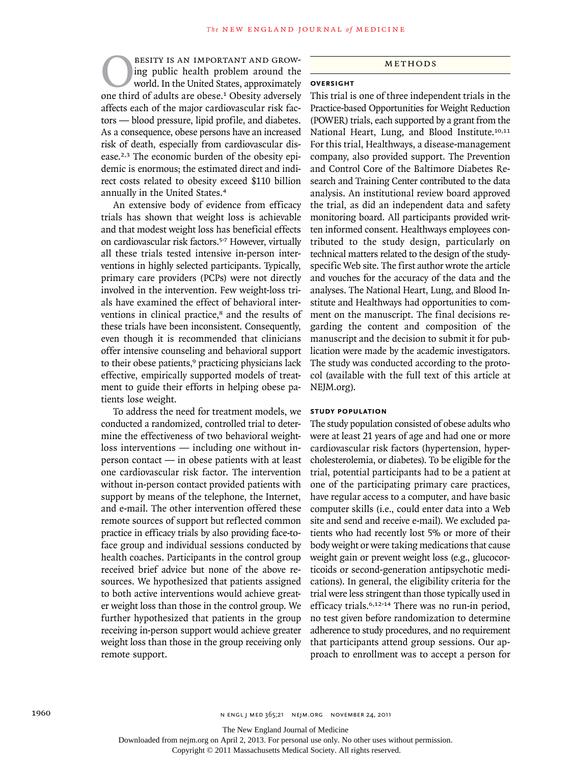**ELENTY IS AN IMPORTANT AND GROWING DURIES ARE SERVICE AND SERVICE AND SERVICE AND SERVICE AND SERVICE AND SERVICE AND SERVICE AND SERVICE AND SERVICE AND SERVICE AND SERVICE AND SERVICE AND SERVICE AND SERVICE AND SERVICE** ing public health problem around the world. In the United States, approximately affects each of the major cardiovascular risk factors — blood pressure, lipid profile, and diabetes. As a consequence, obese persons have an increased risk of death, especially from cardiovascular disease.2,3 The economic burden of the obesity epidemic is enormous; the estimated direct and indirect costs related to obesity exceed \$110 billion annually in the United States.<sup>4</sup>

An extensive body of evidence from efficacy trials has shown that weight loss is achievable and that modest weight loss has beneficial effects on cardiovascular risk factors.5-7 However, virtually all these trials tested intensive in-person interventions in highly selected participants. Typically, primary care providers (PCPs) were not directly involved in the intervention. Few weight-loss trials have examined the effect of behavioral interventions in clinical practice,<sup>8</sup> and the results of these trials have been inconsistent. Consequently, even though it is recommended that clinicians offer intensive counseling and behavioral support to their obese patients,<sup>9</sup> practicing physicians lack effective, empirically supported models of treatment to guide their efforts in helping obese patients lose weight.

To address the need for treatment models, we conducted a randomized, controlled trial to determine the effectiveness of two behavioral weightloss interventions — including one without inperson contact — in obese patients with at least one cardiovascular risk factor. The intervention without in-person contact provided patients with support by means of the telephone, the Internet, and e-mail. The other intervention offered these remote sources of support but reflected common practice in efficacy trials by also providing face-toface group and individual sessions conducted by health coaches. Participants in the control group received brief advice but none of the above resources. We hypothesized that patients assigned to both active interventions would achieve greater weight loss than those in the control group. We further hypothesized that patients in the group receiving in-person support would achieve greater weight loss than those in the group receiving only remote support.

## **METHODS**

## **Oversight**

This trial is one of three independent trials in the Practice-based Opportunities for Weight Reduction (POWER) trials, each supported by a grant from the National Heart, Lung, and Blood Institute.<sup>10,11</sup> For this trial, Healthways, a disease-management company, also provided support. The Prevention and Control Core of the Baltimore Diabetes Research and Training Center contributed to the data analysis. An institutional review board approved the trial, as did an independent data and safety monitoring board. All participants provided written informed consent. Healthways employees contributed to the study design, particularly on technical matters related to the design of the studyspecific Web site. The first author wrote the article and vouches for the accuracy of the data and the analyses. The National Heart, Lung, and Blood Institute and Healthways had opportunities to comment on the manuscript. The final decisions regarding the content and composition of the manuscript and the decision to submit it for publication were made by the academic investigators. The study was conducted according to the protocol (available with the full text of this article at NEJM.org).

#### **Study Population**

The study population consisted of obese adults who were at least 21 years of age and had one or more cardiovascular risk factors (hypertension, hypercholesterolemia, or diabetes). To be eligible for the trial, potential participants had to be a patient at one of the participating primary care practices, have regular access to a computer, and have basic computer skills (i.e., could enter data into a Web site and send and receive e-mail). We excluded patients who had recently lost 5% or more of their body weight or were taking medications that cause weight gain or prevent weight loss (e.g., glucocorticoids or second-generation antipsychotic medications). In general, the eligibility criteria for the trial were less stringent than those typically used in efficacy trials.6,12-14 There was no run-in period, no test given before randomization to determine adherence to study procedures, and no requirement that participants attend group sessions. Our approach to enrollment was to accept a person for

Downloaded from nejm.org on April 2, 2013. For personal use only. No other uses without permission.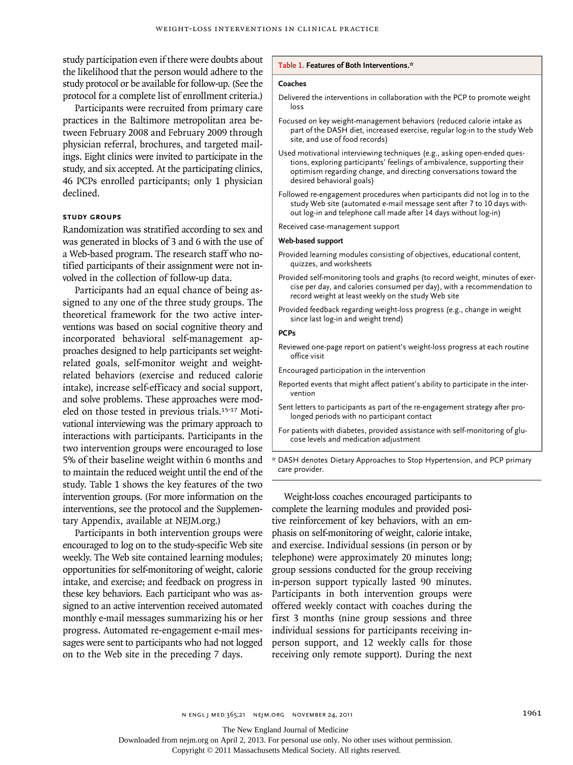study participation even if there were doubts about the likelihood that the person would adhere to the study protocol or be available for follow-up. (See the protocol for a complete list of enrollment criteria.)

Participants were recruited from primary care practices in the Baltimore metropolitan area between February 2008 and February 2009 through physician referral, brochures, and targeted mailings. Eight clinics were invited to participate in the study, and six accepted. At the participating clinics, 46 PCPs enrolled participants; only 1 physician declined.

#### **Study Groups**

Randomization was stratified according to sex and was generated in blocks of 3 and 6 with the use of a Web-based program. The research staff who notified participants of their assignment were not involved in the collection of follow-up data.

Participants had an equal chance of being assigned to any one of the three study groups. The theoretical framework for the two active interventions was based on social cognitive theory and incorporated behavioral self-management approaches designed to help participants set weightrelated goals, self-monitor weight and weightrelated behaviors (exercise and reduced calorie intake), increase self-efficacy and social support, and solve problems. These approaches were modeled on those tested in previous trials.15-17 Motivational interviewing was the primary approach to interactions with participants. Participants in the two intervention groups were encouraged to lose 5% of their baseline weight within 6 months and to maintain the reduced weight until the end of the study. Table 1 shows the key features of the two intervention groups. (For more information on the interventions, see the protocol and the Supplementary Appendix, available at NEJM.org.)

Participants in both intervention groups were encouraged to log on to the study-specific Web site weekly. The Web site contained learning modules; opportunities for self-monitoring of weight, calorie intake, and exercise; and feedback on progress in these key behaviors. Each participant who was assigned to an active intervention received automated monthly e-mail messages summarizing his or her progress. Automated re-engagement e-mail messages were sent to participants who had not logged on to the Web site in the preceding 7 days.

#### **Table 1. Features of Both Interventions.\***

#### **Coaches**

- Delivered the interventions in collaboration with the PCP to promote weight loss
- Focused on key weight-management behaviors (reduced calorie intake as part of the DASH diet, increased exercise, regular log-in to the study Web site, and use of food records)
- Used motivational interviewing techniques (e.g., asking open-ended questions, exploring participants' feelings of ambivalence, supporting their optimism regarding change, and directing conversations toward the desired behavioral goals)
- Followed re-engagement procedures when participants did not log in to the study Web site (automated e-mail message sent after 7 to 10 days without log-in and telephone call made after 14 days without log-in)

Received case-management support

#### **Web-based support**

- Provided learning modules consisting of objectives, educational content, quizzes, and worksheets
- Provided self-monitoring tools and graphs (to record weight, minutes of exercise per day, and calories consumed per day), with a recommendation to record weight at least weekly on the study Web site
- Provided feedback regarding weight-loss progress (e.g., change in weight since last log-in and weight trend)

#### **PCPs**

Reviewed one-page report on patient's weight-loss progress at each routine office visit

Encouraged participation in the intervention

- Reported events that might affect patient's ability to participate in the intervention
- Sent letters to participants as part of the re-engagement strategy after prolonged periods with no participant contact
- For patients with diabetes, provided assistance with self-monitoring of glucose levels and medication adjustment

\* DASH denotes Dietary Approaches to Stop Hypertension, and PCP primary care provider.

Weight-loss coaches encouraged participants to complete the learning modules and provided positive reinforcement of key behaviors, with an emphasis on self-monitoring of weight, calorie intake, and exercise. Individual sessions (in person or by telephone) were approximately 20 minutes long; group sessions conducted for the group receiving in-person support typically lasted 90 minutes. Participants in both intervention groups were offered weekly contact with coaches during the first 3 months (nine group sessions and three individual sessions for participants receiving inperson support, and 12 weekly calls for those receiving only remote support). During the next

The New England Journal of Medicine

Downloaded from nejm.org on April 2, 2013. For personal use only. No other uses without permission.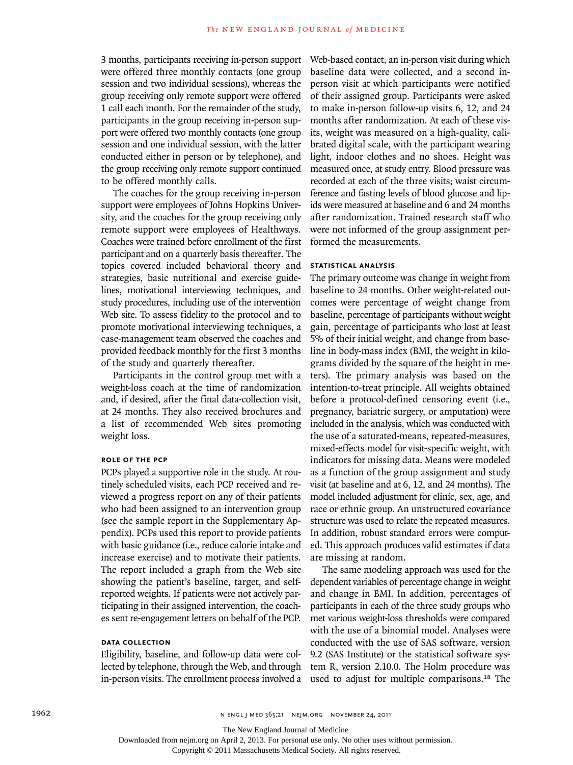3 months, participants receiving in-person support were offered three monthly contacts (one group session and two individual sessions), whereas the group receiving only remote support were offered 1 call each month. For the remainder of the study, participants in the group receiving in-person support were offered two monthly contacts (one group session and one individual session, with the latter conducted either in person or by telephone), and the group receiving only remote support continued to be offered monthly calls.

The coaches for the group receiving in-person support were employees of Johns Hopkins University, and the coaches for the group receiving only remote support were employees of Healthways. Coaches were trained before enrollment of the first participant and on a quarterly basis thereafter. The topics covered included behavioral theory and strategies, basic nutritional and exercise guidelines, motivational interviewing techniques, and study procedures, including use of the intervention Web site. To assess fidelity to the protocol and to promote motivational interviewing techniques, a case-management team observed the coaches and provided feedback monthly for the first 3 months of the study and quarterly thereafter.

Participants in the control group met with a weight-loss coach at the time of randomization and, if desired, after the final data-collection visit, at 24 months. They also received brochures and a list of recommended Web sites promoting weight loss.

## **Role of the PCP**

PCPs played a supportive role in the study. At routinely scheduled visits, each PCP received and reviewed a progress report on any of their patients who had been assigned to an intervention group (see the sample report in the Supplementary Appendix). PCPs used this report to provide patients with basic guidance (i.e., reduce calorie intake and increase exercise) and to motivate their patients. The report included a graph from the Web site showing the patient's baseline, target, and selfreported weights. If patients were not actively participating in their assigned intervention, the coaches sent re-engagement letters on behalf of the PCP.

#### **Data Collection**

Eligibility, baseline, and follow-up data were collected by telephone, through the Web, and through in-person visits. The enrollment process involved a Web-based contact, an in-person visit during which baseline data were collected, and a second inperson visit at which participants were notified of their assigned group. Participants were asked to make in-person follow-up visits 6, 12, and 24 months after randomization. At each of these visits, weight was measured on a high-quality, calibrated digital scale, with the participant wearing light, indoor clothes and no shoes. Height was measured once, at study entry. Blood pressure was recorded at each of the three visits; waist circumference and fasting levels of blood glucose and lipids were measured at baseline and 6 and 24 months after randomization. Trained research staff who were not informed of the group assignment performed the measurements.

#### **Statistical Analysis**

The primary outcome was change in weight from baseline to 24 months. Other weight-related outcomes were percentage of weight change from baseline, percentage of participants without weight gain, percentage of participants who lost at least 5% of their initial weight, and change from baseline in body-mass index (BMI, the weight in kilograms divided by the square of the height in meters). The primary analysis was based on the intention-to-treat principle. All weights obtained before a protocol-defined censoring event (i.e., pregnancy, bariatric surgery, or amputation) were included in the analysis, which was conducted with the use of a saturated-means, repeated-measures, mixed-effects model for visit-specific weight, with indicators for missing data. Means were modeled as a function of the group assignment and study visit (at baseline and at 6, 12, and 24 months). The model included adjustment for clinic, sex, age, and race or ethnic group. An unstructured covariance structure was used to relate the repeated measures. In addition, robust standard errors were computed. This approach produces valid estimates if data are missing at random.

The same modeling approach was used for the dependent variables of percentage change in weight and change in BMI. In addition, percentages of participants in each of the three study groups who met various weight-loss thresholds were compared with the use of a binomial model. Analyses were conducted with the use of SAS software, version 9.2 (SAS Institute) or the statistical software system R, version 2.10.0. The Holm procedure was used to adjust for multiple comparisons.18 The

The New England Journal of Medicine

Downloaded from nejm.org on April 2, 2013. For personal use only. No other uses without permission.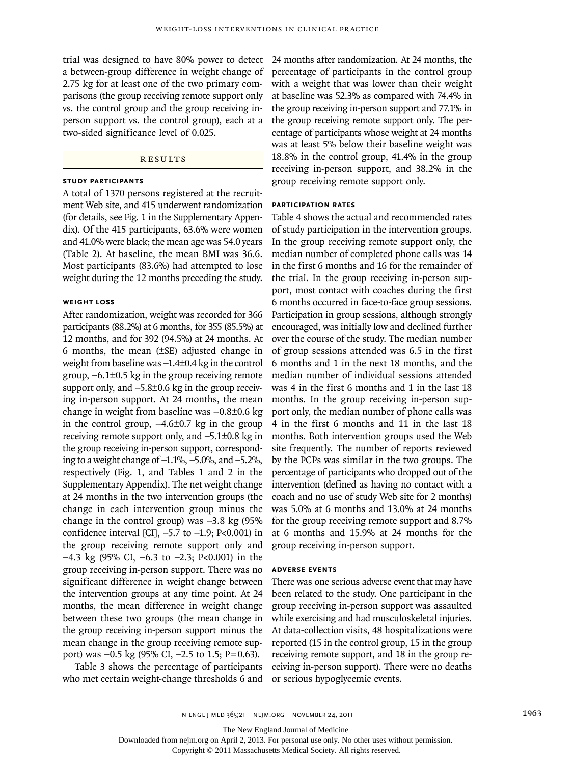trial was designed to have 80% power to detect a between-group difference in weight change of 2.75 kg for at least one of the two primary comparisons (the group receiving remote support only vs. the control group and the group receiving inperson support vs. the control group), each at a two-sided significance level of 0.025.

# **RESULTS**

## **Study Participants**

A total of 1370 persons registered at the recruitment Web site, and 415 underwent randomization (for details, see Fig. 1 in the Supplementary Appendix). Of the 415 participants, 63.6% were women and 41.0% were black; the mean age was 54.0 years (Table 2). At baseline, the mean BMI was 36.6. Most participants (83.6%) had attempted to lose weight during the 12 months preceding the study.

#### **Weight Loss**

After randomization, weight was recorded for 366 participants (88.2%) at 6 months, for 355 (85.5%) at 12 months, and for 392 (94.5%) at 24 months. At 6 months, the mean (±SE) adjusted change in weight from baseline was −1.4±0.4 kg in the control group, −6.1±0.5 kg in the group receiving remote support only, and −5.8±0.6 kg in the group receiving in-person support. At 24 months, the mean change in weight from baseline was −0.8±0.6 kg in the control group, −4.6±0.7 kg in the group receiving remote support only, and −5.1±0.8 kg in the group receiving in-person support, corresponding to a weight change of −1.1%, −5.0%, and −5.2%, respectively (Fig. 1, and Tables 1 and 2 in the Supplementary Appendix). The net weight change at 24 months in the two intervention groups (the change in each intervention group minus the change in the control group) was −3.8 kg (95% confidence interval [CI], −5.7 to −1.9; P<0.001) in the group receiving remote support only and −4.3 kg (95% CI, −6.3 to −2.3; P<0.001) in the group receiving in-person support. There was no significant difference in weight change between the intervention groups at any time point. At 24 months, the mean difference in weight change between these two groups (the mean change in the group receiving in-person support minus the mean change in the group receiving remote support) was −0.5 kg (95% CI, −2.5 to 1.5; P=0.63).

Table 3 shows the percentage of participants who met certain weight-change thresholds 6 and 24 months after randomization. At 24 months, the percentage of participants in the control group with a weight that was lower than their weight at baseline was 52.3% as compared with 74.4% in the group receiving in-person support and 77.1% in the group receiving remote support only. The percentage of participants whose weight at 24 months was at least 5% below their baseline weight was 18.8% in the control group, 41.4% in the group receiving in-person support, and 38.2% in the group receiving remote support only.

# **Participation Rates**

Table 4 shows the actual and recommended rates of study participation in the intervention groups. In the group receiving remote support only, the median number of completed phone calls was 14 in the first 6 months and 16 for the remainder of the trial. In the group receiving in-person support, most contact with coaches during the first 6 months occurred in face-to-face group sessions. Participation in group sessions, although strongly encouraged, was initially low and declined further over the course of the study. The median number of group sessions attended was 6.5 in the first 6 months and 1 in the next 18 months, and the median number of individual sessions attended was 4 in the first 6 months and 1 in the last 18 months. In the group receiving in-person support only, the median number of phone calls was 4 in the first 6 months and 11 in the last 18 months. Both intervention groups used the Web site frequently. The number of reports reviewed by the PCPs was similar in the two groups. The percentage of participants who dropped out of the intervention (defined as having no contact with a coach and no use of study Web site for 2 months) was 5.0% at 6 months and 13.0% at 24 months for the group receiving remote support and 8.7% at 6 months and 15.9% at 24 months for the group receiving in-person support.

#### **Adverse Events**

There was one serious adverse event that may have been related to the study. One participant in the group receiving in-person support was assaulted while exercising and had musculoskeletal injuries. At data-collection visits, 48 hospitalizations were reported (15 in the control group, 15 in the group receiving remote support, and 18 in the group receiving in-person support). There were no deaths or serious hypoglycemic events.

The New England Journal of Medicine

Downloaded from nejm.org on April 2, 2013. For personal use only. No other uses without permission.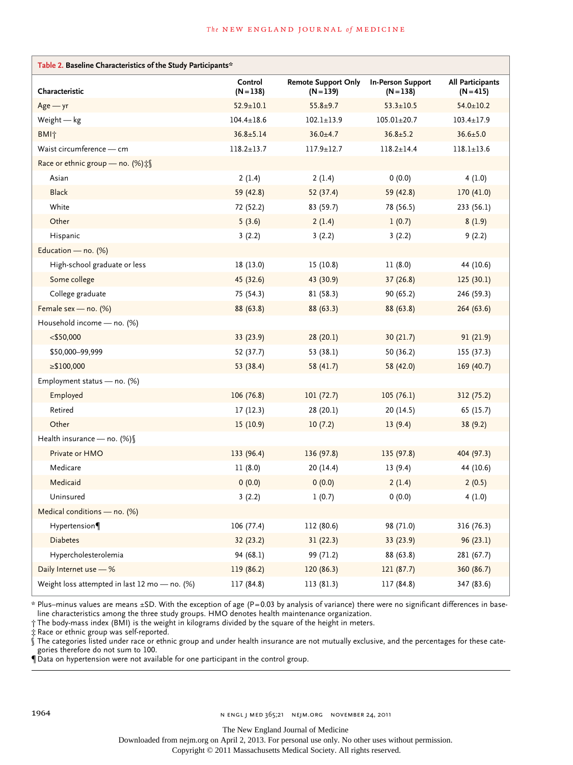| Table 2. Baseline Characteristics of the Study Participants* |                        |                                           |                                         |                                 |  |  |  |
|--------------------------------------------------------------|------------------------|-------------------------------------------|-----------------------------------------|---------------------------------|--|--|--|
| Characteristic                                               | Control<br>$(N = 138)$ | <b>Remote Support Only</b><br>$(N = 139)$ | <b>In-Person Support</b><br>$(N = 138)$ | All Participants<br>$(N = 415)$ |  |  |  |
| $Age - yr$                                                   | $52.9 \pm 10.1$        | $55.8 \pm 9.7$                            | $53.3 \pm 10.5$                         | $54.0 \pm 10.2$                 |  |  |  |
| Weight $-$ kg                                                | $104.4 \pm 18.6$       | $102.1 \pm 13.9$                          | $105.01 \pm 20.7$                       | $103.4 \pm 17.9$                |  |  |  |
| <b>BMI</b> <sup>*</sup>                                      | $36.8 \pm 5.14$        | $36.0 + 4.7$                              | $36.8 \pm 5.2$                          | $36.6 \pm 5.0$                  |  |  |  |
| Waist circumference - cm                                     | $118.2 \pm 13.7$       | $117.9 \pm 12.7$                          | $118.2 \pm 14.4$                        | $118.1 \pm 13.6$                |  |  |  |
| Race or ethnic group - no. (%) : §                           |                        |                                           |                                         |                                 |  |  |  |
| Asian                                                        | 2(1.4)                 | 2(1.4)                                    | 0(0.0)                                  | 4(1.0)                          |  |  |  |
| <b>Black</b>                                                 | 59 (42.8)              | 52(37.4)                                  | 59 (42.8)                               | 170 (41.0)                      |  |  |  |
| White                                                        | 72 (52.2)              | 83 (59.7)                                 | 78 (56.5)                               | 233 (56.1)                      |  |  |  |
| Other                                                        | 5(3.6)                 | 2(1.4)                                    | 1(0.7)                                  | 8(1.9)                          |  |  |  |
| Hispanic                                                     | 3(2.2)                 | 3(2.2)                                    | 3(2.2)                                  | 9(2.2)                          |  |  |  |
| Education - no. $(%)$                                        |                        |                                           |                                         |                                 |  |  |  |
| High-school graduate or less                                 | 18 (13.0)              | 15(10.8)                                  | 11(8.0)                                 | 44 (10.6)                       |  |  |  |
| Some college                                                 | 45 (32.6)              | 43 (30.9)                                 | 37(26.8)                                | 125(30.1)                       |  |  |  |
| College graduate                                             | 75 (54.3)              | 81 (58.3)                                 | 90 (65.2)                               | 246 (59.3)                      |  |  |  |
| Female sex - no. (%)                                         | 88 (63.8)              | 88 (63.3)                                 | 88 (63.8)                               | 264(63.6)                       |  |  |  |
| Household income - no. (%)                                   |                        |                                           |                                         |                                 |  |  |  |
| $<$ \$50,000                                                 | 33 (23.9)              | 28(20.1)                                  | 30(21.7)                                | 91(21.9)                        |  |  |  |
| \$50,000-99,999                                              | 52 (37.7)              | 53 (38.1)                                 | 50 (36.2)                               | 155 (37.3)                      |  |  |  |
| $\geq$ \$100,000                                             | 53 (38.4)              | 58 (41.7)                                 | 58 (42.0)                               | 169 (40.7)                      |  |  |  |
| Employment status - no. (%)                                  |                        |                                           |                                         |                                 |  |  |  |
| Employed                                                     | 106(76.8)              | 101(72.7)                                 | 105(76.1)                               | 312(75.2)                       |  |  |  |
| Retired                                                      | 17(12.3)               | 28(20.1)                                  | 20(14.5)                                | 65 (15.7)                       |  |  |  |
| Other                                                        | 15(10.9)               | 10(7.2)                                   | 13(9.4)                                 | 38(9.2)                         |  |  |  |
| Health insurance - no. (%)                                   |                        |                                           |                                         |                                 |  |  |  |
| Private or HMO                                               | 133 (96.4)             | 136(97.8)                                 | 135 (97.8)                              | 404 (97.3)                      |  |  |  |
| Medicare                                                     | 11(8.0)                | 20 (14.4)                                 | 13(9.4)                                 | 44 (10.6)                       |  |  |  |
| Medicaid                                                     | 0(0.0)                 | 0(0.0)                                    | 2(1.4)                                  | 2(0.5)                          |  |  |  |
| Uninsured                                                    | 3(2.2)                 | 1(0.7)                                    | 0(0.0)                                  | 4(1.0)                          |  |  |  |
| Medical conditions - no. (%)                                 |                        |                                           |                                         |                                 |  |  |  |
| Hypertension                                                 | 106 (77.4)             | 112 (80.6)                                | 98 (71.0)                               | 316 (76.3)                      |  |  |  |
| <b>Diabetes</b>                                              | 32(23.2)               | 31(22.3)                                  | 33 (23.9)                               | 96(23.1)                        |  |  |  |
| Hypercholesterolemia                                         | 94 (68.1)              | 99 (71.2)                                 | 88 (63.8)                               | 281 (67.7)                      |  |  |  |
| Daily Internet use - %                                       | 119 (86.2)             | 120 (86.3)                                | 121(87.7)                               | 360 (86.7)                      |  |  |  |
| Weight loss attempted in last 12 mo - no. (%)                | 117 (84.8)             | 113 (81.3)                                | 117 (84.8)                              | 347 (83.6)                      |  |  |  |

\* Plus–minus values are means ±SD. With the exception of age (P=0.03 by analysis of variance) there were no significant differences in baseline characteristics among the three study groups. HMO denotes health maintenance organization.

† The body-mass index (BMI) is the weight in kilograms divided by the square of the height in meters.

‡ Race or ethnic group was self-reported.

§ The categories listed under race or ethnic group and under health insurance are not mutually exclusive, and the percentages for these categories therefore do not sum to 100.

¶Data on hypertension were not available for one participant in the control group.

Downloaded from nejm.org on April 2, 2013. For personal use only. No other uses without permission.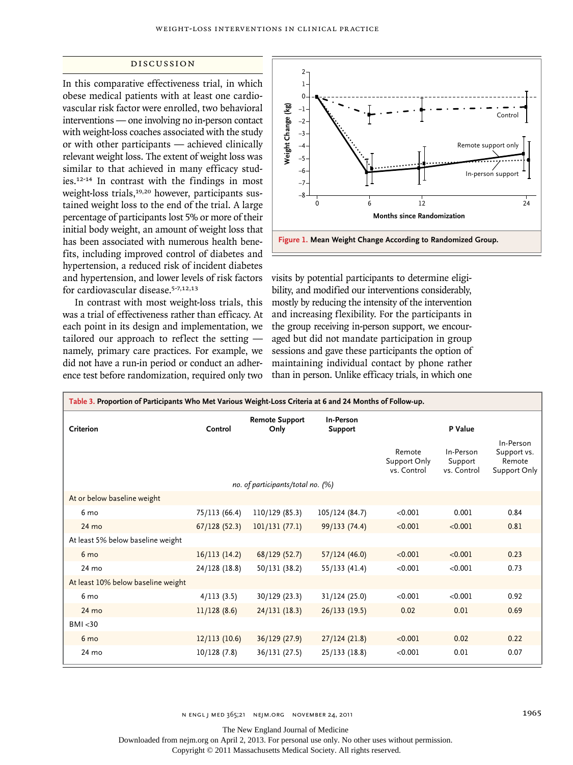# Discussion

In this comparative effectiveness trial, in which obese medical patients with at least one cardiovascular risk factor were enrolled, two behavioral interventions — one involving no in-person contact with weight-loss coaches associated with the study or with other participants — achieved clinically relevant weight loss. The extent of weight loss was similar to that achieved in many efficacy studies.12-14 In contrast with the findings in most weight-loss trials,<sup>19,20</sup> however, participants sustained weight loss to the end of the trial. A large percentage of participants lost 5% or more of their initial body weight, an amount of weight loss that has been associated with numerous health benefits, including improved control of diabetes and hypertension, a reduced risk of incident diabetes and hypertension, and lower levels of risk factors for cardiovascular disease.5-7,12,13

In contrast with most weight-loss trials, this was a trial of effectiveness rather than efficacy. At each point in its design and implementation, we tailored our approach to reflect the setting namely, primary care practices. For example, we did not have a run-in period or conduct an adherence test before randomization, required only two



visits by potential participants to determine eligibility, and modified our interventions considerably, mostly by reducing the intensity of the intervention and increasing flexibility. For the participants in the group receiving in-person support, we encouraged but did not mandate participation in group sessions and gave these participants the option of maintaining individual contact by phone rather than in person. Unlike efficacy trials, in which one

| Table 3. Proportion of Participants Who Met Various Weight-Loss Criteria at 6 and 24 Months of Follow-up. |               |                                   |                             |                                       |                                     |                                                    |  |
|-----------------------------------------------------------------------------------------------------------|---------------|-----------------------------------|-----------------------------|---------------------------------------|-------------------------------------|----------------------------------------------------|--|
| Criterion                                                                                                 | Control       | <b>Remote Support</b><br>Only     | In-Person<br><b>Support</b> |                                       | P Value                             |                                                    |  |
|                                                                                                           |               |                                   |                             | Remote<br>Support Only<br>vs. Control | In-Person<br>Support<br>vs. Control | In-Person<br>Support vs.<br>Remote<br>Support Only |  |
|                                                                                                           |               | no. of participants/total no. (%) |                             |                                       |                                     |                                                    |  |
| At or below baseline weight                                                                               |               |                                   |                             |                                       |                                     |                                                    |  |
| 6 <sub>mo</sub>                                                                                           | 75/113 (66.4) | 110/129 (85.3)                    | 105/124 (84.7)              | < 0.001                               | 0.001                               | 0.84                                               |  |
| $24 \text{ mo}$                                                                                           | 67/128(52.3)  | 101/131(77.1)                     | 99/133 (74.4)               | < 0.001                               | < 0.001                             | 0.81                                               |  |
| At least 5% below baseline weight                                                                         |               |                                   |                             |                                       |                                     |                                                    |  |
| 6 mo                                                                                                      | 16/113(14.2)  | 68/129 (52.7)                     | 57/124 (46.0)               | < 0.001                               | < 0.001                             | 0.23                                               |  |
| 24 mo                                                                                                     | 24/128 (18.8) | 50/131(38.2)                      | 55/133(41.4)                | < 0.001                               | < 0.001                             | 0.73                                               |  |
| At least 10% below baseline weight                                                                        |               |                                   |                             |                                       |                                     |                                                    |  |
| 6 <sub>mo</sub>                                                                                           | 4/113(3.5)    | 30/129(23.3)                      | 31/124(25.0)                | < 0.001                               | < 0.001                             | 0.92                                               |  |
| $24 \text{ mo}$                                                                                           | 11/128(8.6)   | 24/131(18.3)                      | 26/133(19.5)                | 0.02                                  | 0.01                                | 0.69                                               |  |
| BMI < 30                                                                                                  |               |                                   |                             |                                       |                                     |                                                    |  |
| 6 mo                                                                                                      | 12/113(10.6)  | 36/129 (27.9)                     | 27/124(21.8)                | < 0.001                               | 0.02                                | 0.22                                               |  |
| 24 mo                                                                                                     | 10/128(7.8)   | 36/131 (27.5)                     | 25/133(18.8)                | < 0.001                               | 0.01                                | 0.07                                               |  |

n engl j med 365;21 nejm.org november 24, 2011 1965

The New England Journal of Medicine

Downloaded from nejm.org on April 2, 2013. For personal use only. No other uses without permission.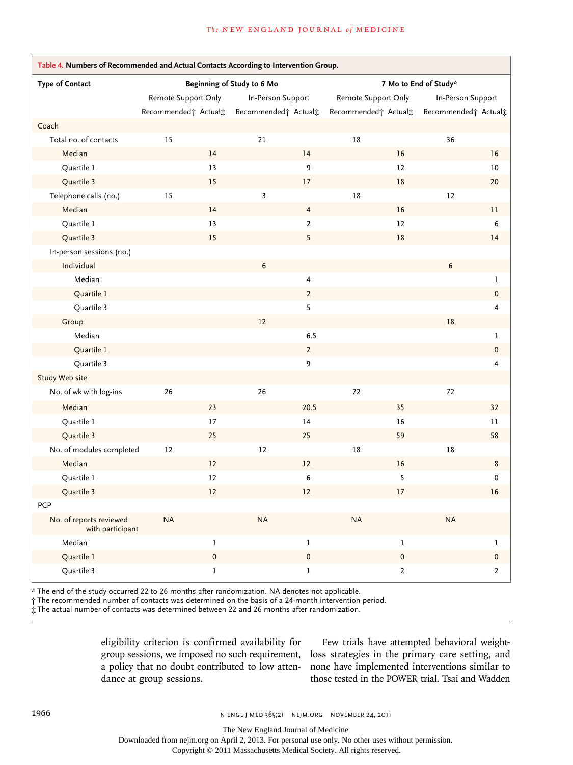#### *The* NEW ENGLAND JOURNAL of MEDICINE

| Table 4. Numbers of Recommended and Actual Contacts According to Intervention Group. |                                              |             |                         |                         |                                              |                |                                              |                |
|--------------------------------------------------------------------------------------|----------------------------------------------|-------------|-------------------------|-------------------------|----------------------------------------------|----------------|----------------------------------------------|----------------|
| <b>Type of Contact</b>                                                               | Beginning of Study to 6 Mo                   |             |                         | 7 Mo to End of Study*   |                                              |                |                                              |                |
|                                                                                      | Remote Support Only                          |             | In-Person Support       |                         | Remote Support Only                          |                | In-Person Support                            |                |
|                                                                                      | Recommended <sup>+</sup> Actual <sup>+</sup> |             | Recommended ¡ Actual :  |                         | Recommended <sup>+</sup> Actual <sup>+</sup> |                | Recommended <sup>+</sup> Actual <sup>+</sup> |                |
| Coach                                                                                |                                              |             |                         |                         |                                              |                |                                              |                |
| Total no. of contacts                                                                | 15                                           |             | 21                      |                         | 18                                           |                | 36                                           |                |
| Median                                                                               |                                              | 14          |                         | 14                      |                                              | 16             |                                              | 16             |
| Quartile 1                                                                           |                                              | 13          |                         | 9                       |                                              | 12             |                                              | 10             |
| Quartile 3                                                                           |                                              | 15          |                         | 17                      |                                              | 18             |                                              | 20             |
| Telephone calls (no.)                                                                | 15                                           |             | $\overline{\mathbf{3}}$ |                         | 18                                           |                | 12                                           |                |
| Median                                                                               |                                              | 14          |                         | $\overline{4}$          |                                              | 16             |                                              | 11             |
| Quartile 1                                                                           |                                              | 13          |                         | $\overline{2}$          |                                              | 12             |                                              | 6              |
| Quartile 3                                                                           |                                              | 15          |                         | 5                       |                                              | 18             |                                              | 14             |
| In-person sessions (no.)                                                             |                                              |             |                         |                         |                                              |                |                                              |                |
| Individual                                                                           |                                              |             | 6                       |                         |                                              |                | $\boldsymbol{6}$                             |                |
| Median                                                                               |                                              |             |                         | $\overline{\mathbf{4}}$ |                                              |                |                                              | 1              |
| Quartile 1                                                                           |                                              |             |                         | $\overline{2}$          |                                              |                |                                              | $\mathbf 0$    |
| Quartile 3                                                                           |                                              |             |                         | 5                       |                                              |                |                                              | 4              |
| Group                                                                                |                                              |             | 12                      |                         |                                              |                | 18                                           |                |
| Median                                                                               |                                              |             |                         | 6.5                     |                                              |                |                                              | 1              |
| Quartile 1                                                                           |                                              |             |                         | $\overline{2}$          |                                              |                |                                              | $\mathbf 0$    |
| Quartile 3                                                                           |                                              |             |                         | 9                       |                                              |                |                                              | 4              |
| Study Web site                                                                       |                                              |             |                         |                         |                                              |                |                                              |                |
| No. of wk with log-ins                                                               | 26                                           |             | 26                      |                         | 72                                           |                | 72                                           |                |
| Median                                                                               |                                              | 23          |                         | 20.5                    |                                              | 35             |                                              | 32             |
| Quartile 1                                                                           |                                              | 17          |                         | 14                      |                                              | 16             |                                              | 11             |
| Quartile 3                                                                           |                                              | 25          |                         | 25                      |                                              | 59             |                                              | 58             |
| No. of modules completed                                                             | 12                                           |             | 12                      |                         | 18                                           |                | 18                                           |                |
| Median                                                                               |                                              | 12          |                         | 12                      |                                              | 16             |                                              | 8              |
| Quartile 1                                                                           |                                              | 12          |                         | 6                       |                                              | 5              |                                              | 0              |
| Quartile 3                                                                           |                                              | 12          |                         | 12                      |                                              | 17             |                                              | 16             |
| PCP                                                                                  |                                              |             |                         |                         |                                              |                |                                              |                |
| No. of reports reviewed<br>with participant                                          | <b>NA</b>                                    |             | <b>NA</b>               |                         | <b>NA</b>                                    |                | <b>NA</b>                                    |                |
| Median                                                                               |                                              | $\mathbf 1$ |                         | $\mathbf{1}$            |                                              | $\mathbf{1}$   |                                              | 1              |
| Quartile 1                                                                           |                                              | $\mathbf 0$ |                         | $\mathbf 0$             |                                              | $\mathbf 0$    |                                              | 0              |
| Quartile 3                                                                           |                                              | $\bf{l}$    |                         | $\mathbf{1}$            |                                              | $\overline{2}$ |                                              | $\overline{2}$ |

\* The end of the study occurred 22 to 26 months after randomization. NA denotes not applicable.

† The recommended number of contacts was determined on the basis of a 24-month intervention period.

‡ The actual number of contacts was determined between 22 and 26 months after randomization.

eligibility criterion is confirmed availability for group sessions, we imposed no such requirement, a policy that no doubt contributed to low attendance at group sessions.

Few trials have attempted behavioral weightloss strategies in the primary care setting, and none have implemented interventions similar to those tested in the POWER trial. Tsai and Wadden

The New England Journal of Medicine

Downloaded from nejm.org on April 2, 2013. For personal use only. No other uses without permission.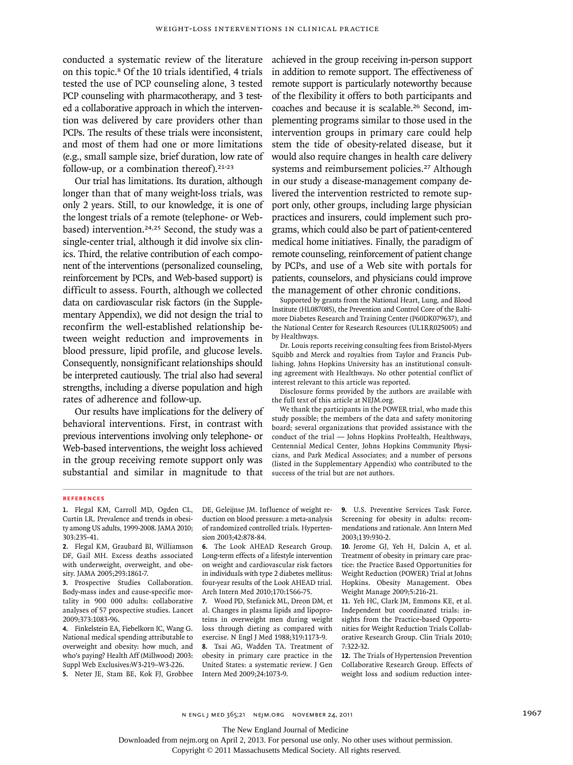conducted a systematic review of the literature on this topic.8 Of the 10 trials identified, 4 trials tested the use of PCP counseling alone, 3 tested PCP counseling with pharmacotherapy, and 3 tested a collaborative approach in which the intervention was delivered by care providers other than PCPs. The results of these trials were inconsistent, and most of them had one or more limitations (e.g., small sample size, brief duration, low rate of follow-up, or a combination thereof). $21-23$ 

Our trial has limitations. Its duration, although longer than that of many weight-loss trials, was only 2 years. Still, to our knowledge, it is one of the longest trials of a remote (telephone- or Webbased) intervention.<sup>24,25</sup> Second, the study was a single-center trial, although it did involve six clinics. Third, the relative contribution of each component of the interventions (personalized counseling, reinforcement by PCPs, and Web-based support) is difficult to assess. Fourth, although we collected data on cardiovascular risk factors (in the Supplementary Appendix), we did not design the trial to reconfirm the well-established relationship between weight reduction and improvements in blood pressure, lipid profile, and glucose levels. Consequently, nonsignificant relationships should be interpreted cautiously. The trial also had several strengths, including a diverse population and high rates of adherence and follow-up.

Our results have implications for the delivery of behavioral interventions. First, in contrast with previous interventions involving only telephone- or Web-based interventions, the weight loss achieved in the group receiving remote support only was substantial and similar in magnitude to that achieved in the group receiving in-person support in addition to remote support. The effectiveness of remote support is particularly noteworthy because of the flexibility it offers to both participants and coaches and because it is scalable.26 Second, implementing programs similar to those used in the intervention groups in primary care could help stem the tide of obesity-related disease, but it would also require changes in health care delivery systems and reimbursement policies.<sup>27</sup> Although in our study a disease-management company delivered the intervention restricted to remote support only, other groups, including large physician practices and insurers, could implement such programs, which could also be part of patient-centered medical home initiatives. Finally, the paradigm of remote counseling, reinforcement of patient change by PCPs, and use of a Web site with portals for patients, counselors, and physicians could improve the management of other chronic conditions.

Supported by grants from the National Heart, Lung, and Blood Institute (HL087085), the Prevention and Control Core of the Baltimore Diabetes Research and Training Center (P60DK079637), and the National Center for Research Resources (UL1RR025005) and by Healthways.

Dr. Louis reports receiving consulting fees from Bristol-Myers Squibb and Merck and royalties from Taylor and Francis Publishing. Johns Hopkins University has an institutional consulting agreement with Healthways. No other potential conflict of interest relevant to this article was reported.

Disclosure forms provided by the authors are available with the full text of this article at NEJM.org.

We thank the participants in the POWER trial, who made this study possible; the members of the data and safety monitoring board; several organizations that provided assistance with the conduct of the trial — Johns Hopkins ProHealth, Healthways, Centennial Medical Center, Johns Hopkins Community Physicians, and Park Medical Associates; and a number of persons (listed in the Supplementary Appendix) who contributed to the success of the trial but are not authors.

#### **References**

**1.** Flegal KM, Carroll MD, Ogden CL, Curtin LR. Prevalence and trends in obesity among US adults, 1999-2008. JAMA 2010; 303:235-41.

**2.** Flegal KM, Graubard BI, Williamson DF, Gail MH. Excess deaths associated with underweight, overweight, and obesity. JAMA 2005;293:1861-7.

**3.** Prospective Studies Collaboration. Body-mass index and cause-specific mortality in 900 000 adults: collaborative analyses of 57 prospective studies. Lancet 2009;373:1083-96.

**4.** Finkelstein EA, Fiebelkorn IC, Wang G. National medical spending attributable to overweight and obesity: how much, and who's paying? Health Aff (Millwood) 2003: Suppl Web Exclusives:W3-219–W3-226. **5.** Neter JE, Stam BE, Kok FJ, Grobbee

DE, Geleijnse JM. Influence of weight reduction on blood pressure: a meta-analysis of randomized controlled trials. Hypertension 2003;42:878-84.

**6.** The Look AHEAD Research Group. Long-term effects of a lifestyle intervention on weight and cardiovascular risk factors in individuals with type 2 diabetes mellitus: four-year results of the Look AHEAD trial. Arch Intern Med 2010;170:1566-75.

**7.** Wood PD, Stefanick ML, Dreon DM, et al. Changes in plasma lipids and lipoproteins in overweight men during weight loss through dieting as compared with exercise. N Engl J Med 1988;319:1173-9. **8.** Tsai AG, Wadden TA. Treatment of obesity in primary care practice in the United States: a systematic review. J Gen Intern Med 2009;24:1073-9.

**9.** U.S. Preventive Services Task Force. Screening for obesity in adults: recommendations and rationale. Ann Intern Med 2003;139:930-2.

**10.** Jerome GJ, Yeh H, Dalcin A, et al. Treatment of obesity in primary care practice: the Practice Based Opportunities for Weight Reduction (POWER) Trial at Johns Hopkins. Obesity Management. Obes Weight Manage 2009;5:216-21.

**11.** Yeh HC, Clark JM, Emmons KE, et al. Independent but coordinated trials: insights from the Practice-based Opportunities for Weight Reduction Trials Collaborative Research Group. Clin Trials 2010; 7:322-32.

**12.** The Trials of Hypertension Prevention Collaborative Research Group. Effects of weight loss and sodium reduction inter-

The New England Journal of Medicine

Downloaded from nejm.org on April 2, 2013. For personal use only. No other uses without permission.